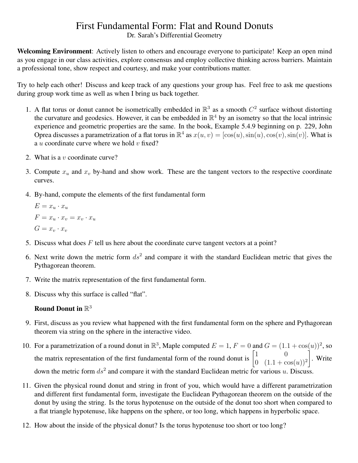## First Fundamental Form: Flat and Round Donuts

Dr. Sarah's Differential Geometry

Welcoming Environment: Actively listen to others and encourage everyone to participate! Keep an open mind as you engage in our class activities, explore consensus and employ collective thinking across barriers. Maintain a professional tone, show respect and courtesy, and make your contributions matter.

Try to help each other! Discuss and keep track of any questions your group has. Feel free to ask me questions during group work time as well as when I bring us back together.

- 1. A flat torus or donut cannot be isometrically embedded in  $\mathbb{R}^3$  as a smooth  $C^2$  surface without distorting the curvature and geodesics. However, it can be embedded in  $\mathbb{R}^4$  by an isometry so that the local intrinsic experience and geometric properties are the same. In the book, Example 5.4.9 beginning on p. 229, John Oprea discusses a parametrization of a flat torus in  $\mathbb{R}^4$  as  $x(u, v) = [\cos(u), \sin(u), \cos(v), \sin(v)]$ . What is a u coordinate curve where we hold  $v$  fixed?
- 2. What is a  $v$  coordinate curve?
- 3. Compute  $x_u$  and  $x_v$  by-hand and show work. These are the tangent vectors to the respective coordinate curves.
- 4. By-hand, compute the elements of the first fundamental form

 $E = x_u \cdot x_u$  $F = x_u \cdot x_v = x_v \cdot x_u$  $G = x_v \cdot x_v$ 

- 5. Discuss what does  $F$  tell us here about the coordinate curve tangent vectors at a point?
- 6. Next write down the metric form  $ds^2$  and compare it with the standard Euclidean metric that gives the Pythagorean theorem.
- 7. Write the matrix representation of the first fundamental form.
- 8. Discuss why this surface is called "flat".

## Round Donut in  $\mathbb{R}^3$

- 9. First, discuss as you review what happened with the first fundamental form on the sphere and Pythagorean theorem via string on the sphere in the interactive video.
- 10. For a parametrization of a round donut in  $\mathbb{R}^3$ , Maple computed  $E = 1$ ,  $F = 0$  and  $G = (1.1 + \cos(u))^2$ , so the matrix representation of the first fundamental form of the round donut is  $\begin{bmatrix} 1 & 0 \\ 0 & (1, 1) \end{bmatrix}$ 0  $(1.1 + \cos(u))^2$ 1 . Write down the metric form  $ds^2$  and compare it with the standard Euclidean metric for various u. Discuss.
- 11. Given the physical round donut and string in front of you, which would have a different parametrization and different first fundamental form, investigate the Euclidean Pythagorean theorem on the outside of the donut by using the string. Is the torus hypotenuse on the outside of the donut too short when compared to a flat triangle hypotenuse, like happens on the sphere, or too long, which happens in hyperbolic space.
- 12. How about the inside of the physical donut? Is the torus hypotenuse too short or too long?